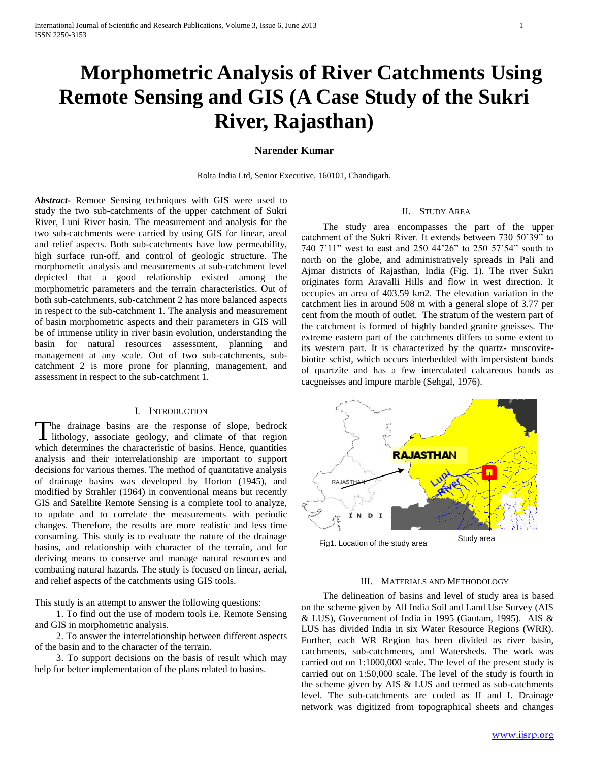# **Morphometric Analysis of River Catchments Using Remote Sensing and GIS (A Case Study of the Sukri River, Rajasthan)**

## **Narender Kumar**

Rolta India Ltd, Senior Executive, 160101, Chandigarh.

*Abstract***-** Remote Sensing techniques with GIS were used to study the two sub-catchments of the upper catchment of Sukri River, Luni River basin. The measurement and analysis for the two sub-catchments were carried by using GIS for linear, areal and relief aspects. Both sub-catchments have low permeability, high surface run-off, and control of geologic structure. The morphometic analysis and measurements at sub-catchment level depicted that a good relationship existed among the morphometric parameters and the terrain characteristics. Out of both sub-catchments, sub-catchment 2 has more balanced aspects in respect to the sub-catchment 1. The analysis and measurement of basin morphometric aspects and their parameters in GIS will be of immense utility in river basin evolution, understanding the basin for natural resources assessment, planning and management at any scale. Out of two sub-catchments, subcatchment 2 is more prone for planning, management, and assessment in respect to the sub-catchment 1.

#### I. INTRODUCTION

he drainage basins are the response of slope, bedrock The drainage basins are the response of slope, bedrock lithology, associate geology, and climate of that region which determines the characteristic of basins. Hence, quantities analysis and their interrelationship are important to support decisions for various themes. The method of quantitative analysis of drainage basins was developed by Horton (1945), and modified by Strahler (1964) in conventional means but recently GIS and Satellite Remote Sensing is a complete tool to analyze, to update and to correlate the measurements with periodic changes. Therefore, the results are more realistic and less time consuming. This study is to evaluate the nature of the drainage basins, and relationship with character of the terrain, and for deriving means to conserve and manage natural resources and combating natural hazards. The study is focused on linear, aerial, and relief aspects of the catchments using GIS tools.

This study is an attempt to answer the following questions:

 1. To find out the use of modern tools i.e. Remote Sensing and GIS in morphometric analysis.

 2. To answer the interrelationship between different aspects of the basin and to the character of the terrain.

 3. To support decisions on the basis of result which may help for better implementation of the plans related to basins.

#### II. STUDY AREA

 The study area encompasses the part of the upper catchment of the Sukri River. It extends between 730 50'39" to 740 7'11" west to east and 250 44'26" to 250 57'54" south to north on the globe, and administratively spreads in Pali and Ajmar districts of Rajasthan, India (Fig. 1). The river Sukri originates form Aravalli Hills and flow in west direction. It occupies an area of 403.59 km2. The elevation variation in the catchment lies in around 508 m with a general slope of 3.77 per cent from the mouth of outlet. The stratum of the western part of the catchment is formed of highly banded granite gneisses. The extreme eastern part of the catchments differs to some extent to its western part. It is characterized by the quartz- muscovitebiotite schist, which occurs interbedded with impersistent bands of quartzite and has a few intercalated calcareous bands as cacgneisses and impure marble (Sehgal, 1976).



#### III. MATERIALS AND METHODOLOGY

 The delineation of basins and level of study area is based on the scheme given by All India Soil and Land Use Survey (AIS & LUS), Government of India in 1995 (Gautam, 1995). AIS & LUS has divided India in six Water Resource Regions (WRR). Further, each WR Region has been divided as river basin, catchments, sub-catchments, and Watersheds. The work was carried out on 1:1000,000 scale. The level of the present study is carried out on 1:50,000 scale. The level of the study is fourth in the scheme given by AIS & LUS and termed as sub-catchments level. The sub-catchments are coded as II and I. Drainage network was digitized from topographical sheets and changes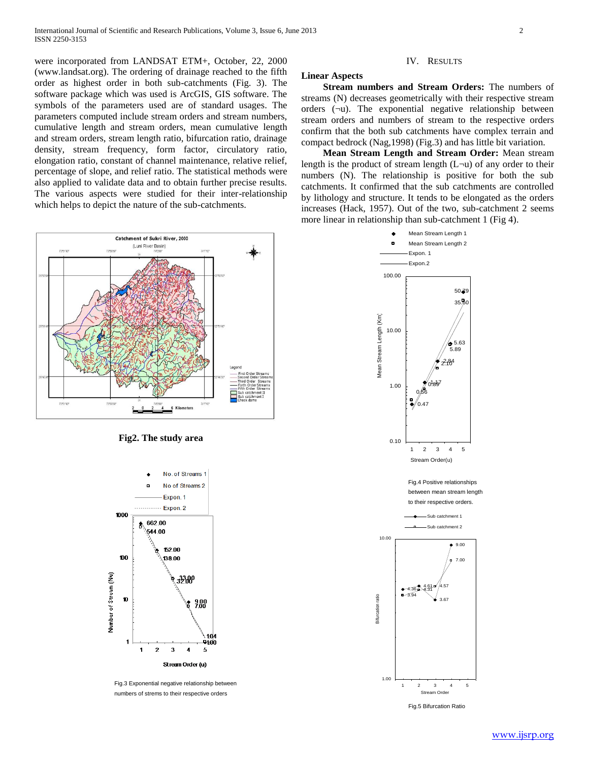were incorporated from LANDSAT ETM+, October, 22, 2000 (www.landsat.org). The ordering of drainage reached to the fifth order as highest order in both sub-catchments (Fig. 3). The software package which was used is ArcGIS, GIS software. The symbols of the parameters used are of standard usages. The parameters computed include stream orders and stream numbers, cumulative length and stream orders, mean cumulative length and stream orders, stream length ratio, bifurcation ratio, drainage density, stream frequency, form factor, circulatory ratio, elongation ratio, constant of channel maintenance, relative relief, percentage of slope, and relief ratio. The statistical methods were also applied to validate data and to obtain further precise results. The various aspects were studied for their inter-relationship which helps to depict the nature of the sub-catchments.



#### **Fig2. The study area**



Fig.3 Exponential negative relationship between numbers of strems to their respective orders

### IV. RESULTS

## **Linear Aspects**

 **Stream numbers and Stream Orders:** The numbers of streams (N) decreases geometrically with their respective stream orders (¬u). The exponential negative relationship between stream orders and numbers of stream to the respective orders confirm that the both sub catchments have complex terrain and compact bedrock (Nag,1998) (Fig.3) and has little bit variation.

 **Mean Stream Length and Stream Order:** Mean stream length is the product of stream length  $(L\neg u)$  of any order to their numbers (N). The relationship is positive for both the sub catchments. It confirmed that the sub catchments are controlled by lithology and structure. It tends to be elongated as the orders increases (Hack, 1957). Out of the two, sub-catchment 2 seems more linear in relationship than sub-catchment 1 (Fig 4).

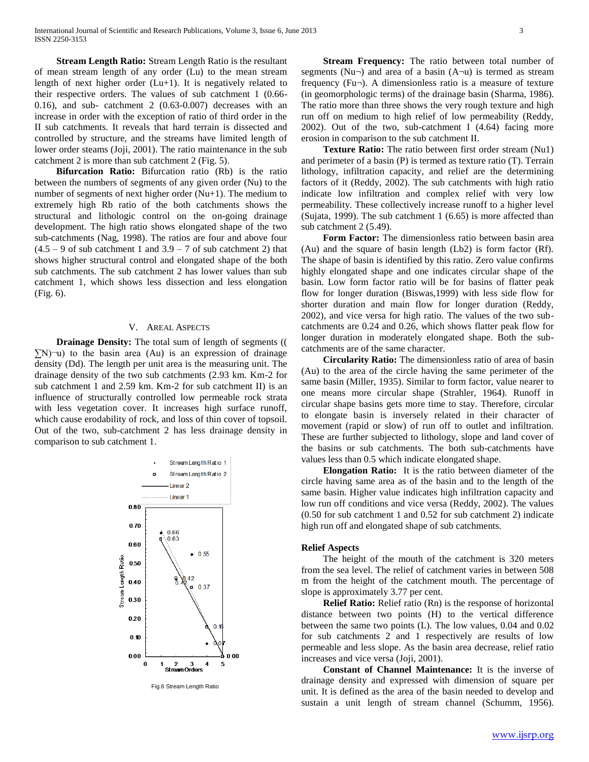**Stream Length Ratio:** Stream Length Ratio is the resultant of mean stream length of any order (Lu) to the mean stream length of next higher order (Lu+1). It is negatively related to their respective orders. The values of sub catchment 1 (0.66- 0.16), and sub- catchment 2 (0.63-0.007) decreases with an increase in order with the exception of ratio of third order in the II sub catchments. It reveals that hard terrain is dissected and controlled by structure, and the streams have limited length of lower order steams (Joji, 2001). The ratio maintenance in the sub catchment 2 is more than sub catchment 2 (Fig. 5).

 **Bifurcation Ratio:** Bifurcation ratio (Rb) is the ratio between the numbers of segments of any given order (Nu) to the number of segments of next higher order (Nu+1). The medium to extremely high Rb ratio of the both catchments shows the structural and lithologic control on the on-going drainage development. The high ratio shows elongated shape of the two sub-catchments (Nag, 1998). The ratios are four and above four  $(4.5 - 9)$  of sub catchment 1 and  $3.9 - 7$  of sub catchment 2) that shows higher structural control and elongated shape of the both sub catchments. The sub catchment 2 has lower values than sub catchment 1, which shows less dissection and less elongation (Fig. 6).

#### V. AREAL ASPECTS

**Drainage Density:** The total sum of length of segments ((  $\Sigma$ N)¬u) to the basin area (Au) is an expression of drainage density (Dd). The length per unit area is the measuring unit. The drainage density of the two sub catchments (2.93 km. Km-2 for sub catchment 1 and 2.59 km. Km-2 for sub catchment II) is an influence of structurally controlled low permeable rock strata with less vegetation cover. It increases high surface runoff, which cause erodability of rock, and loss of thin cover of topsoil. Out of the two, sub-catchment 2 has less drainage density in comparison to sub catchment 1.



Fig.6 Stream Length Ratio

 **Stream Frequency:** The ratio between total number of segments (Nu $\neg$ ) and area of a basin (A $\neg$ u) is termed as stream frequency  $(Fu\neg)$ . A dimensionless ratio is a measure of texture (in geomorphologic terms) of the drainage basin (Sharma, 1986). The ratio more than three shows the very rough texture and high run off on medium to high relief of low permeability (Reddy, 2002). Out of the two, sub-catchment I (4.64) facing more erosion in comparison to the sub catchment II.

 **Texture Ratio:** The ratio between first order stream (Nu1) and perimeter of a basin (P) is termed as texture ratio (T). Terrain lithology, infiltration capacity, and relief are the determining factors of it (Reddy, 2002). The sub catchments with high ratio indicate low infiltration and complex relief with very low permeability. These collectively increase runoff to a higher level (Sujata, 1999). The sub catchment 1 (6.65) is more affected than sub catchment 2 (5.49).

 **Form Factor:** The dimensionless ratio between basin area (Au) and the square of basin length (Lb2) is form factor (Rf). The shape of basin is identified by this ratio. Zero value confirms highly elongated shape and one indicates circular shape of the basin. Low form factor ratio will be for basins of flatter peak flow for longer duration (Biswas,1999) with less side flow for shorter duration and main flow for longer duration (Reddy, 2002), and vice versa for high ratio. The values of the two subcatchments are 0.24 and 0.26, which shows flatter peak flow for longer duration in moderately elongated shape. Both the subcatchments are of the same character.

 **Circularity Ratio:** The dimensionless ratio of area of basin (Au) to the area of the circle having the same perimeter of the same basin (Miller, 1935). Similar to form factor, value nearer to one means more circular shape (Strahler, 1964). Runoff in circular shape basins gets more time to stay. Therefore, circular to elongate basin is inversely related in their character of movement (rapid or slow) of run off to outlet and infiltration. These are further subjected to lithology, slope and land cover of the basins or sub catchments. The both sub-catchments have values less than 0.5 which indicate elongated shape.

 **Elongation Ratio:** It is the ratio between diameter of the circle having same area as of the basin and to the length of the same basin. Higher value indicates high infiltration capacity and low run off conditions and vice versa (Reddy, 2002). The values (0.50 for sub catchment 1 and 0.52 for sub catchment 2) indicate high run off and elongated shape of sub catchments.

#### **Relief Aspects**

 The height of the mouth of the catchment is 320 meters from the sea level. The relief of catchment varies in between 508 m from the height of the catchment mouth. The percentage of slope is approximately 3.77 per cent.

 **Relief Ratio:** Relief ratio (Rn) is the response of horizontal distance between two points (H) to the vertical difference between the same two points (L). The low values, 0.04 and 0.02 for sub catchments 2 and 1 respectively are results of low permeable and less slope. As the basin area decrease, relief ratio increases and vice versa (Joji, 2001).

 **Constant of Channel Maintenance:** It is the inverse of drainage density and expressed with dimension of square per unit. It is defined as the area of the basin needed to develop and sustain a unit length of stream channel (Schumm, 1956).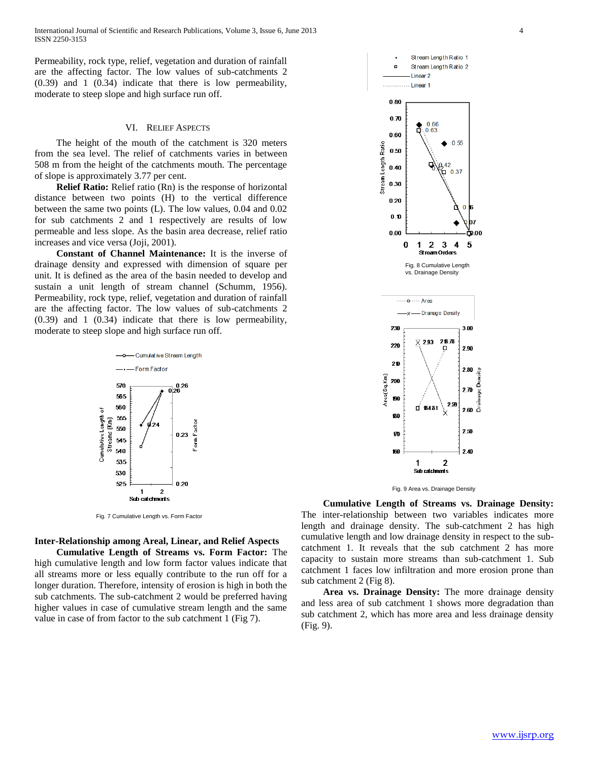Permeability, rock type, relief, vegetation and duration of rainfall are the affecting factor. The low values of sub-catchments 2 (0.39) and 1 (0.34) indicate that there is low permeability, moderate to steep slope and high surface run off.

#### VI. RELIEF ASPECTS

 The height of the mouth of the catchment is 320 meters from the sea level. The relief of catchments varies in between 508 m from the height of the catchments mouth. The percentage of slope is approximately 3.77 per cent.

 **Relief Ratio:** Relief ratio (Rn) is the response of horizontal distance between two points (H) to the vertical difference between the same two points (L). The low values, 0.04 and 0.02 for sub catchments 2 and 1 respectively are results of low permeable and less slope. As the basin area decrease, relief ratio increases and vice versa (Joji, 2001).

 **Constant of Channel Maintenance:** It is the inverse of drainage density and expressed with dimension of square per unit. It is defined as the area of the basin needed to develop and sustain a unit length of stream channel (Schumm, 1956). Permeability, rock type, relief, vegetation and duration of rainfall are the affecting factor. The low values of sub-catchments 2 (0.39) and 1 (0.34) indicate that there is low permeability, moderate to steep slope and high surface run off.



Fig. 7 Cumulative Length vs. Form Factor

## **Inter-Relationship among Areal, Linear, and Relief Aspects**

 **Cumulative Length of Streams vs. Form Factor:** The high cumulative length and low form factor values indicate that all streams more or less equally contribute to the run off for a longer duration. Therefore, intensity of erosion is high in both the sub catchments. The sub-catchment 2 would be preferred having higher values in case of cumulative stream length and the same value in case of from factor to the sub catchment 1 (Fig 7).





 **Cumulative Length of Streams vs. Drainage Density:**  The inter-relationship between two variables indicates more length and drainage density. The sub-catchment 2 has high cumulative length and low drainage density in respect to the subcatchment 1. It reveals that the sub catchment 2 has more capacity to sustain more streams than sub-catchment 1. Sub catchment 1 faces low infiltration and more erosion prone than sub catchment 2 (Fig 8).

 **Area vs. Drainage Density:** The more drainage density and less area of sub catchment 1 shows more degradation than sub catchment 2, which has more area and less drainage density (Fig. 9).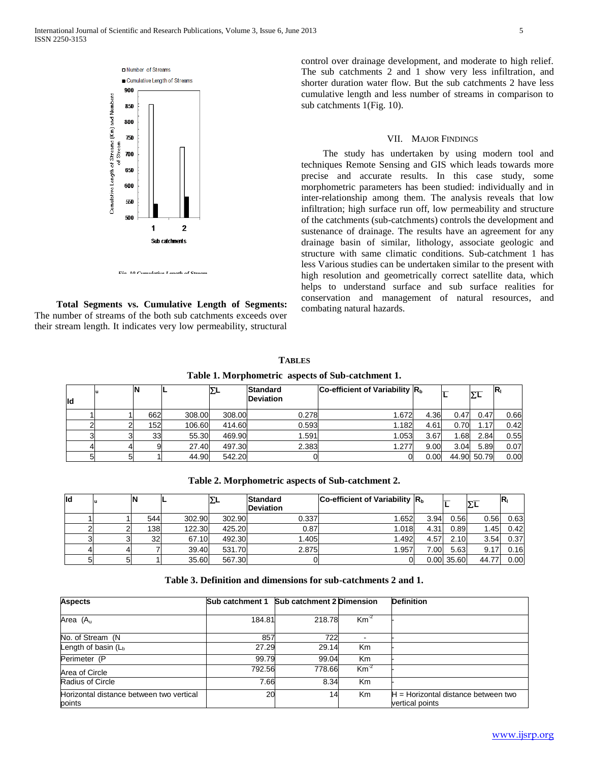

 **Total Segments vs. Cumulative Length of Segments:** The number of streams of the both sub catchments exceeds over their stream length. It indicates very low permeability, structural

control over drainage development, and moderate to high relief. The sub catchments 2 and 1 show very less infiltration, and shorter duration water flow. But the sub catchments 2 have less cumulative length and less number of streams in comparison to sub catchments 1(Fig. 10).

### VII. MAJOR FINDINGS

 The study has undertaken by using modern tool and techniques Remote Sensing and GIS which leads towards more precise and accurate results. In this case study, some morphometric parameters has been studied: individually and in inter-relationship among them. The analysis reveals that low infiltration; high surface run off, low permeability and structure of the catchments (sub-catchments) controls the development and sustenance of drainage. The results have an agreement for any drainage basin of similar, lithology, associate geologic and structure with same climatic conditions. Sub-catchment 1 has less Various studies can be undertaken similar to the present with high resolution and geometrically correct satellite data, which helps to understand surface and sub surface realities for conservation and management of natural resources, and combating natural hazards.

**Table 1. Morphometric aspects of Sub-catchment 1.**

**TABLES**

| ld | lu |     |        | ΣL     | <b>Standard</b><br><b>Deviation</b> | Co-efficient of Variability $Rb$ |      |      | ΣL          | $ R_1$ |
|----|----|-----|--------|--------|-------------------------------------|----------------------------------|------|------|-------------|--------|
|    |    |     |        |        |                                     |                                  |      |      |             |        |
|    |    | 662 | 308.00 | 308.00 | 0.278                               | 1.672                            | 4.36 | 0.47 | 0.47        | 0.66   |
|    |    | 152 | 106.60 | 414.60 | 0.593                               | 1.182                            | 4.61 | 0.70 | 1.17        | 0.42   |
|    |    | 33  | 55.30  | 469.90 | 1.591                               | 1.053                            | 3.67 | 1.68 | 2.84        | 0.55   |
|    |    |     | 27.40  | 497.30 | 2.383                               | 1.277                            | 9.00 | 3.04 | 5.89        | 0.07   |
|    |    |     | 44.90  | 542.20 |                                     | OI                               | 0.00 |      | 44.90 50.79 | 0.00   |

**Table 2. Morphometric aspects of Sub-catchment 2.**

| ld | lu | ıΝ              |        | ΣL     | <b>Standard</b><br>Deviation | Co-efficient of Variability R <sub>b</sub> |      |              | $\Sigma$ L |      |
|----|----|-----------------|--------|--------|------------------------------|--------------------------------------------|------|--------------|------------|------|
|    |    | 544             | 302.90 | 302.90 | 0.337                        | 1.652                                      | 3.94 | 0.56         | 0.56       | 0.63 |
|    |    | 138             | 122.30 | 425.20 | 0.87                         | 1.018                                      | 4.31 | 0.89         | 1.45       | 0.42 |
|    |    | 32 <sub>l</sub> | 67.10  | 492.30 | 1.405                        | 1.492                                      | 4.57 | 2.10         | 3.54       | 0.37 |
|    |    |                 | 39.40  | 531.70 | 2.875                        | 1.957                                      | 7.00 | 5.63         | 9.17       | 0.16 |
| 5  |    |                 | 35.60  | 567.30 |                              |                                            |      | $0.00$ 35.60 | 44.77      | 0.00 |

| Table 3. Definition and dimensions for sub-catchments 2 and 1. |  |
|----------------------------------------------------------------|--|
|----------------------------------------------------------------|--|

| <b>Aspects</b>                           | Sub catchment 1 | <b>Sub catchment 2 Dimension</b> |                | <b>Definition</b>                     |
|------------------------------------------|-----------------|----------------------------------|----------------|---------------------------------------|
|                                          |                 |                                  |                |                                       |
| Area (A <sub>u</sub>                     | 184.81          | 218.78                           | $Km^{-2}$      |                                       |
| No. of Stream (N                         | 857             | 722                              |                |                                       |
| Length of basin $(Lb)$                   | 27.29           | 29.14                            | <b>Km</b>      |                                       |
| Perimeter (P                             | 99.79           | 99.04                            | K <sub>m</sub> |                                       |
| Area of Circle                           | 792.56          | 778.66                           | $Km^{-2}$      |                                       |
| Radius of Circle                         | 7.66            | 8.34                             | Km             |                                       |
| Horizontal distance between two vertical | 20              | 14                               | Km             | $H =$ Horizontal distance between two |
| points                                   |                 |                                  |                | vertical points                       |